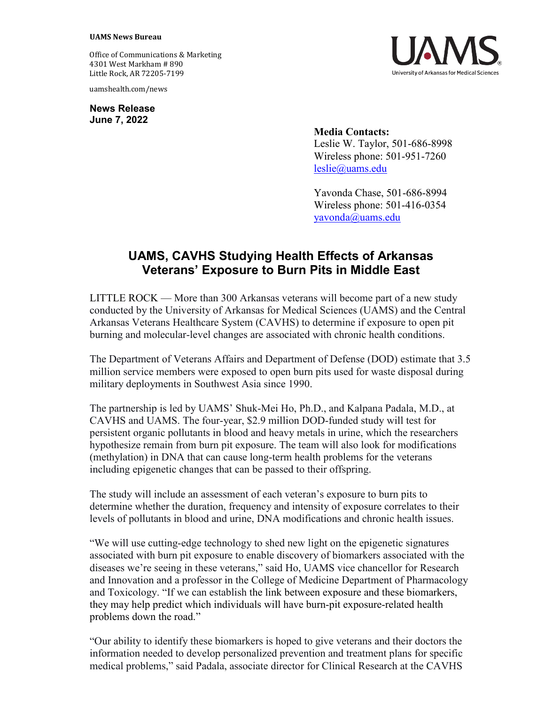## **UAMS News Bureau**

Office of Communications & Marketing 4301 West Markham # 890 Little Rock, AR 72205-7199

uamshealth.com/news

**News Release June 7, 2022**

**Media Contacts:** Leslie W. Taylor, 501-686-8998 Wireless phone: 501-951-7260 [leslie@uams.edu](mailto:leslie@uams.edu)

Yavonda Chase, 501-686-8994 Wireless phone: 501-416-0354 [yavonda@uams.edu](mailto:yavonda@uams.edu)

## **UAMS, CAVHS Studying Health Effects of Arkansas Veterans' Exposure to Burn Pits in Middle East**

LITTLE ROCK — More than 300 Arkansas veterans will become part of a new study conducted by the University of Arkansas for Medical Sciences (UAMS) and the Central Arkansas Veterans Healthcare System (CAVHS) to determine if exposure to open pit burning and molecular-level changes are associated with chronic health conditions.

The Department of Veterans Affairs and Department of Defense (DOD) estimate that 3.5 million service members were exposed to open burn pits used for waste disposal during military deployments in Southwest Asia since 1990.

The partnership is led by UAMS' Shuk-Mei Ho, Ph.D., and Kalpana Padala, M.D., at CAVHS and UAMS. The four-year, \$2.9 million DOD-funded study will test for persistent organic pollutants in blood and heavy metals in urine, which the researchers hypothesize remain from burn pit exposure. The team will also look for modifications (methylation) in DNA that can cause long-term health problems for the veterans including epigenetic changes that can be passed to their offspring.

The study will include an assessment of each veteran's exposure to burn pits to determine whether the duration, frequency and intensity of exposure correlates to their levels of pollutants in blood and urine, DNA modifications and chronic health issues.

"We will use cutting-edge technology to shed new light on the epigenetic signatures associated with burn pit exposure to enable discovery of biomarkers associated with the diseases we're seeing in these veterans," said Ho, UAMS vice chancellor for Research and Innovation and a professor in the College of Medicine Department of Pharmacology and Toxicology. "If we can establish the link between exposure and these biomarkers, they may help predict which individuals will have burn-pit exposure-related health problems down the road."

"Our ability to identify these biomarkers is hoped to give veterans and their doctors the information needed to develop personalized prevention and treatment plans for specific medical problems," said Padala, associate director for Clinical Research at the CAVHS

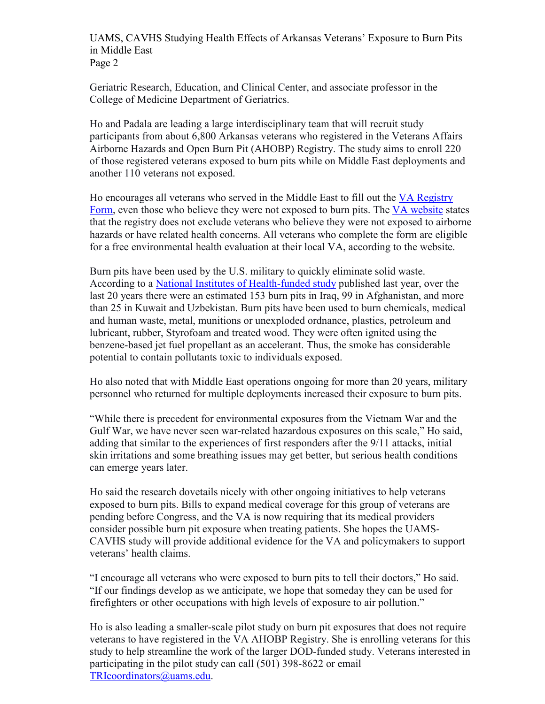UAMS, CAVHS Studying Health Effects of Arkansas Veterans' Exposure to Burn Pits in Middle East Page 2

Geriatric Research, Education, and Clinical Center, and associate professor in the College of Medicine Department of Geriatrics.

Ho and Padala are leading a large interdisciplinary team that will recruit study participants from about 6,800 Arkansas veterans who registered in the Veterans Affairs Airborne Hazards and Open Burn Pit (AHOBP) Registry. The study aims to enroll 220 of those registered veterans exposed to burn pits while on Middle East deployments and another 110 veterans not exposed.

Ho encourages all veterans who served in the Middle East to fill out the [VA Registry](https://veteran.mobilehealth.va.gov/AHBurnPitRegistry/#page/home)  [Form,](https://veteran.mobilehealth.va.gov/AHBurnPitRegistry/#page/home) even those who believe they were not exposed to burn pits. The [VA website](https://www.publichealth.va.gov/exposures/burnpits/registry.asp#:%7E:text=VA%20established%20the%20Airborne%20Hazards,effects%20of%20airborne%20hazard%20exposures.) states that the registry does not exclude veterans who believe they were not exposed to airborne hazards or have related health concerns. All veterans who complete the form are eligible for a free environmental health evaluation at their local VA, according to the website.

Burn pits have been used by the U.S. military to quickly eliminate solid waste. According to a [National Institutes of Health-funded study](https://pubmed.ncbi.nlm.nih.gov/35128459/) published last year, over the last 20 years there were an estimated 153 burn pits in Iraq, 99 in Afghanistan, and more than 25 in Kuwait and Uzbekistan. Burn pits have been used to burn chemicals, medical and human waste, metal, munitions or unexploded ordnance, plastics, petroleum and lubricant, rubber, Styrofoam and treated wood. They were often ignited using the benzene-based jet fuel propellant as an accelerant. Thus, the smoke has considerable potential to contain pollutants toxic to individuals exposed.

Ho also noted that with Middle East operations ongoing for more than 20 years, military personnel who returned for multiple deployments increased their exposure to burn pits.

"While there is precedent for environmental exposures from the Vietnam War and the Gulf War, we have never seen war-related hazardous exposures on this scale," Ho said, adding that similar to the experiences of first responders after the 9/11 attacks, initial skin irritations and some breathing issues may get better, but serious health conditions can emerge years later.

Ho said the research dovetails nicely with other ongoing initiatives to help veterans exposed to burn pits. Bills to expand medical coverage for this group of veterans are pending before Congress, and the VA is now requiring that its medical providers consider possible burn pit exposure when treating patients. She hopes the UAMS-CAVHS study will provide additional evidence for the VA and policymakers to support veterans' health claims.

"I encourage all veterans who were exposed to burn pits to tell their doctors," Ho said. "If our findings develop as we anticipate, we hope that someday they can be used for firefighters or other occupations with high levels of exposure to air pollution."

Ho is also leading a smaller-scale pilot study on burn pit exposures that does not require veterans to have registered in the VA AHOBP Registry. She is enrolling veterans for this study to help streamline the work of the larger DOD-funded study. Veterans interested in participating in the pilot study can call (501) 398-8622 or email [TRIcoordinators@uams.edu.](mailto:TRIcoordinators@uams.edu)